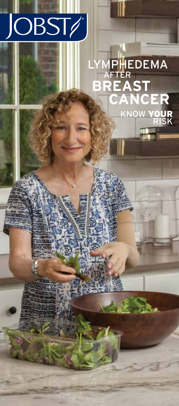## OBST/

## MP<mark>HEDEMA</mark><br>AFTER<br>D**F A ST BREAST CANCER** KNOW YOUR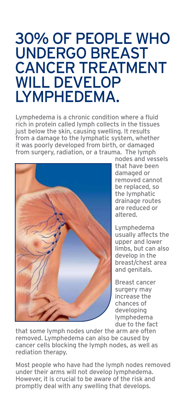## 30% OF PEOPLE WHO UNDERGO BREAST CANCER TREATMENT WILL DEVELOP LYMPHEDEMA.

Lymphedema is a chronic condition where a fluid rich in protein called lymph collects in the tissues just below the skin, causing swelling. It results from a damage to the lymphatic system, whether it was poorly developed from birth, or damaged from surgery, radiation, or a trauma. The lymph



nodes and vessels that have been damaged or removed cannot be replaced, so the lymphatic drainage routes are reduced or altered.

Lymphedema usually affects the upper and lower limbs, but can also develop in the breast/chest area and genitals.

Breast cancer surgery may increase the chances of developing lymphedema due to the fact

that some lymph nodes under the arm are often removed. Lymphedema can also be caused by cancer cells blocking the lymph nodes, as well as rediation therapy.

Most people who have had the lymph nodes removed under their arms will not develop lymphedema. However, it is crucial to be aware of the risk and promptly deal with any swelling that develops.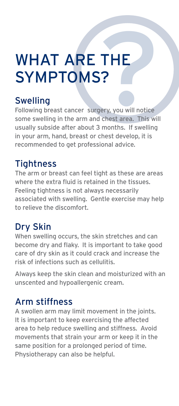# WHAT ARE THE<br>SYMPTOMS?<br>Swelling<br>Following breast cancer surgery, you will notice<br>some swelling in the arm and chest area. This will SYMPTOMS?

#### **Swelling**

Following breast cancer surgery, you will notice some swelling in the arm and chest area. This will usually subside after about 3 months. If swelling in your arm, hand, breast or chest develop, it is recommended to get professional advice.

#### **Tightness**

The arm or breast can feel tight as these are areas where the extra fluid is retained in the tissues. Feeling tightness is not always necessarily associated with swelling. Gentle exercise may help to relieve the discomfort.

#### Dry Skin

When swelling occurs, the skin stretches and can become dry and flaky. It is important to take good care of dry skin as it could crack and increase the risk of infections such as cellulitis.

Always keep the skin clean and moisturized with an unscented and hypoallergenic cream.

#### Arm stiffness

A swollen arm may limit movement in the joints. It is important to keep exercising the affected area to help reduce swelling and stiffness. Avoid movements that strain your arm or keep it in the same position for a prolonged period of time. Physiotherapy can also be helpful.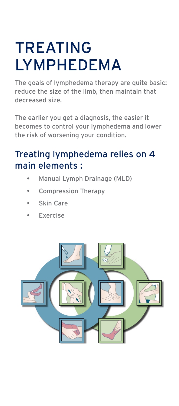## TREATING LYMPHEDEMA

The goals of lymphedema therapy are quite basic: reduce the size of the limb, then maintain that decreased size.

The earlier you get a diagnosis, the easier it becomes to control your lymphedema and lower the risk of worsening your condition.

#### Treating lymphedema relies on 4 main elements :

- Manual Lymph Drainage (MLD)
- Compression Therapy
- **Skin Care**
- **Exercise**

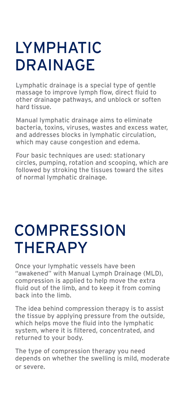## LYMPHATIC DRAINAGE

Lymphatic drainage is a special type of gentle massage to improve lymph flow, direct fluid to other drainage pathways, and unblock or soften hard tissue.

Manual lymphatic drainage aims to eliminate bacteria, toxins, viruses, wastes and excess water, and addresses blocks in lymphatic circulation, which may cause congestion and edema.

Four basic techniques are used: stationary circles, pumping, rotation and scooping, which are followed by stroking the tissues toward the sites of normal lymphatic drainage.

## **COMPRESSION THERAPY**

Once your lymphatic vessels have been "awakened" with Manual Lymph Drainage (MLD), compression is applied to help move the extra fluid out of the limb, and to keep it from coming back into the limb.

The idea behind compression therapy is to assist the tissue by applying pressure from the outside, which helps move the fluid into the lymphatic system, where it is filtered, concentrated, and returned to your body.

The type of compression therapy you need depends on whether the swelling is mild, moderate or severe.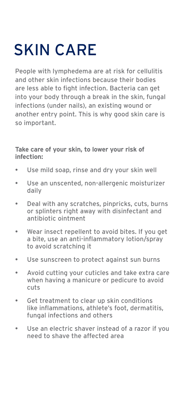## SKIN CARE

People with lymphedema are at risk for cellulitis and other skin infections because their bodies are less able to fight infection. Bacteria can get into your body through a break in the skin, fungal infections (under nails), an existing wound or another entry point. This is why good skin care is so important.

#### **Take care of your skin, to lower your risk of infection:**

- Use mild soap, rinse and dry your skin well
- Use an unscented, non-allergenic moisturizer daily
- Deal with any scratches, pinpricks, cuts, burns or splinters right away with disinfectant and antibiotic ointment
- Wear insect repellent to avoid bites. If you get a bite, use an anti-inflammatory lotion/spray to avoid scratching it
- Use sunscreen to protect against sun burns
- Avoid cutting your cuticles and take extra care when having a manicure or pedicure to avoid cuts
- Get treatment to clear up skin conditions like inflammations, athlete's foot, dermatitis, fungal infections and others
- Use an electric shaver instead of a razor if you need to shave the affected area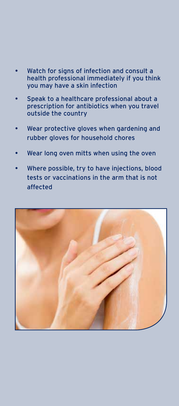- Watch for signs of infection and consult a health professional immediately if you think you may have a skin infection
- Speak to a healthcare professional about a prescription for antibiotics when you travel outside the country
- Wear protective gloves when gardening and rubber gloves for household chores
- Wear long oven mitts when using the oven
- Where possible, try to have injections, blood tests or vaccinations in the arm that is not affected

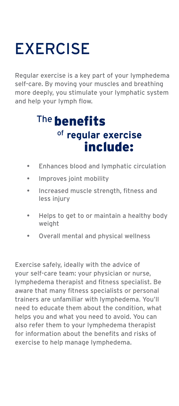## **EXERCISE**

Regular exercise is a key part of your lymphedema self-care. By moving your muscles and breathing more deeply, you stimulate your lymphatic system and help your lymph flow.

### The **benefits** <sup>of</sup> regular exercise include:

- Enhances blood and lymphatic circulation
- Improves joint mobility
- Increased muscle strength, fitness and less injury
- Helps to get to or maintain a healthy body weight
- Overall mental and physical wellness

Exercise safely, ideally with the advice of your self-care team: your physician or nurse, lymphedema therapist and fitness specialist. Be aware that many fitness specialists or personal trainers are unfamiliar with lymphedema. You'll need to educate them about the condition, what helps you and what you need to avoid. You can also refer them to your lymphedema therapist for information about the benefits and risks of exercise to help manage lymphedema.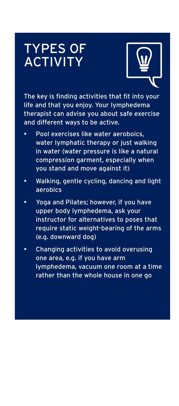## TYPES OF ACTIVITY



The key is finding activities that fit into your life and that you enjoy. Your lymphedema therapist can advise you about safe exercise and different ways to be active.

- Pool exercises like water aeroboics, water lymphatic therapy or just walking in water (water pressure is like a natural compression garment, especially when you stand and move against it)
- Walking, gentle cycling, dancing and light **aerobics**
- Yoga and Pilates; however, if you have upper body lymphedema, ask your instructor for alternatives to poses that require static weight-bearing of the arms (e.g. downward dog)
- Changing activities to avoid overusing one area, e.g. if you have arm lymphedema, vacuum one room at a time rather than the whole house in one go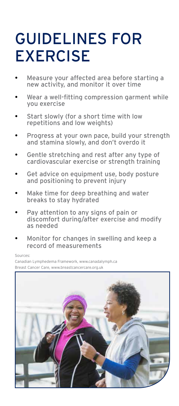## GUIDELINES FOR **EXERCISE**

- Measure your affected area before starting a new activity, and monitor it over time
- Wear a well-fitting compression garment while you exercise
- Start slowly (for a short time with low repetitions and low weights)
- Progress at your own pace, build your strength and stamina slowly, and don't overdo it
- Gentle stretching and rest after any type of cardiovascular exercise or strength training
- Get advice on equipment use, body posture and positioning to prevent injury
- Make time for deep breathing and water breaks to stay hydrated
- Pay attention to any signs of pain or discomfort during/after exercise and modify as needed
- Monitor for changes in swelling and keep a record of measurements

#### Sources:

Canadian Lymphedema Framework, www.canadalymph.ca Breast Cancer Care, www.breastcancercare.org.uk

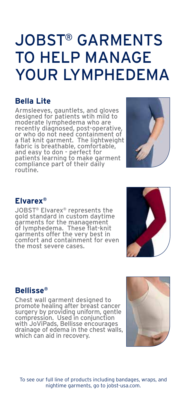## JOBST® GARMENTS TO HELP MANAGE YOUR LYMPHEDEMA

#### **Bella Lite**

Armsleeves, gauntlets, and gloves designed for patients wtih mild to<br>moderate lymphedema who are moderate lymphedema who are<br>recently diagnosed, post-operative, or who do not need containment of a flat knit garment. The lightweight fabric is breathable, comfortable, and easy to don - perfect for patients learning to make garment compliance part of their daily routine.



#### **Elvarex®**

JOBST® Elvarex® represents the<br>gold standard in custom daytime<br>garments for the management of lymphedema. These flat-knit garments offer the very best in comfort and containment for even the most severe cases.



#### **Bellisse®**

Chest wall garment designed to promote healing after breast cancer surgery by providing uniform, gentle compression. Used in conjunction with JoViPads, Bellisse encourages drainage of edema in the chest walls, which can aid in recovery.



To see our full line of products including bandages, wraps, and nightime garments, go to jobst-usa.com.